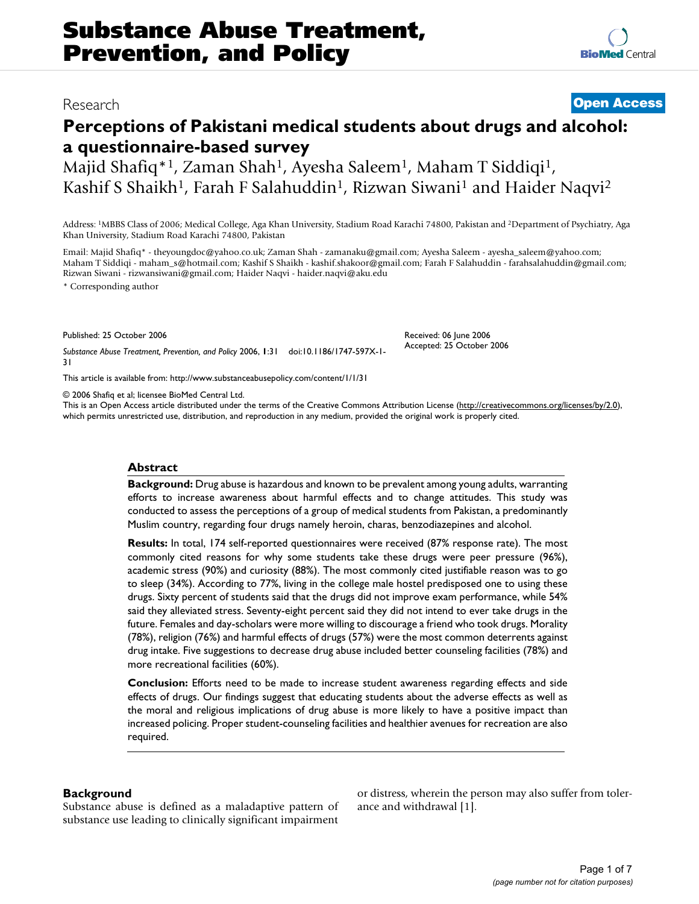# Research **[Open Access](http://www.biomedcentral.com/info/about/charter/)**

**[BioMed](http://www.biomedcentral.com/)** Central

# **Perceptions of Pakistani medical students about drugs and alcohol: a questionnaire-based survey**

Majid Shafiq<sup>\*1</sup>, Zaman Shah<sup>1</sup>, Ayesha Saleem<sup>1</sup>, Maham T Siddiqi<sup>1</sup>, Kashif S Shaikh<sup>1</sup>, Farah F Salahuddin<sup>1</sup>, Rizwan Siwani<sup>1</sup> and Haider Naqvi<sup>2</sup>

Address: 1MBBS Class of 2006; Medical College, Aga Khan University, Stadium Road Karachi 74800, Pakistan and 2Department of Psychiatry, Aga Khan University, Stadium Road Karachi 74800, Pakistan

Email: Majid Shafiq\* - theyoungdoc@yahoo.co.uk; Zaman Shah - zamanaku@gmail.com; Ayesha Saleem - ayesha\_saleem@yahoo.com; Maham T Siddiqi - maham\_s@hotmail.com; Kashif S Shaikh - kashif.shakoor@gmail.com; Farah F Salahuddin - farahsalahuddin@gmail.com; Rizwan Siwani - rizwansiwani@gmail.com; Haider Naqvi - haider.naqvi@aku.edu

> Received: 06 June 2006 Accepted: 25 October 2006

\* Corresponding author

Published: 25 October 2006

*Substance Abuse Treatment, Prevention, and Policy* 2006, **1**:31 doi:10.1186/1747-597X-1- 31

[This article is available from: http://www.substanceabusepolicy.com/content/1/1/31](http://www.substanceabusepolicy.com/content/1/1/31)

© 2006 Shafiq et al; licensee BioMed Central Ltd.

This is an Open Access article distributed under the terms of the Creative Commons Attribution License [\(http://creativecommons.org/licenses/by/2.0\)](http://creativecommons.org/licenses/by/2.0), which permits unrestricted use, distribution, and reproduction in any medium, provided the original work is properly cited.

#### **Abstract**

**Background:** Drug abuse is hazardous and known to be prevalent among young adults, warranting efforts to increase awareness about harmful effects and to change attitudes. This study was conducted to assess the perceptions of a group of medical students from Pakistan, a predominantly Muslim country, regarding four drugs namely heroin, charas, benzodiazepines and alcohol.

**Results:** In total, 174 self-reported questionnaires were received (87% response rate). The most commonly cited reasons for why some students take these drugs were peer pressure (96%), academic stress (90%) and curiosity (88%). The most commonly cited justifiable reason was to go to sleep (34%). According to 77%, living in the college male hostel predisposed one to using these drugs. Sixty percent of students said that the drugs did not improve exam performance, while 54% said they alleviated stress. Seventy-eight percent said they did not intend to ever take drugs in the future. Females and day-scholars were more willing to discourage a friend who took drugs. Morality (78%), religion (76%) and harmful effects of drugs (57%) were the most common deterrents against drug intake. Five suggestions to decrease drug abuse included better counseling facilities (78%) and more recreational facilities (60%).

**Conclusion:** Efforts need to be made to increase student awareness regarding effects and side effects of drugs. Our findings suggest that educating students about the adverse effects as well as the moral and religious implications of drug abuse is more likely to have a positive impact than increased policing. Proper student-counseling facilities and healthier avenues for recreation are also required.

#### **Background**

Substance abuse is defined as a maladaptive pattern of substance use leading to clinically significant impairment or distress, wherein the person may also suffer from tolerance and withdrawal [1].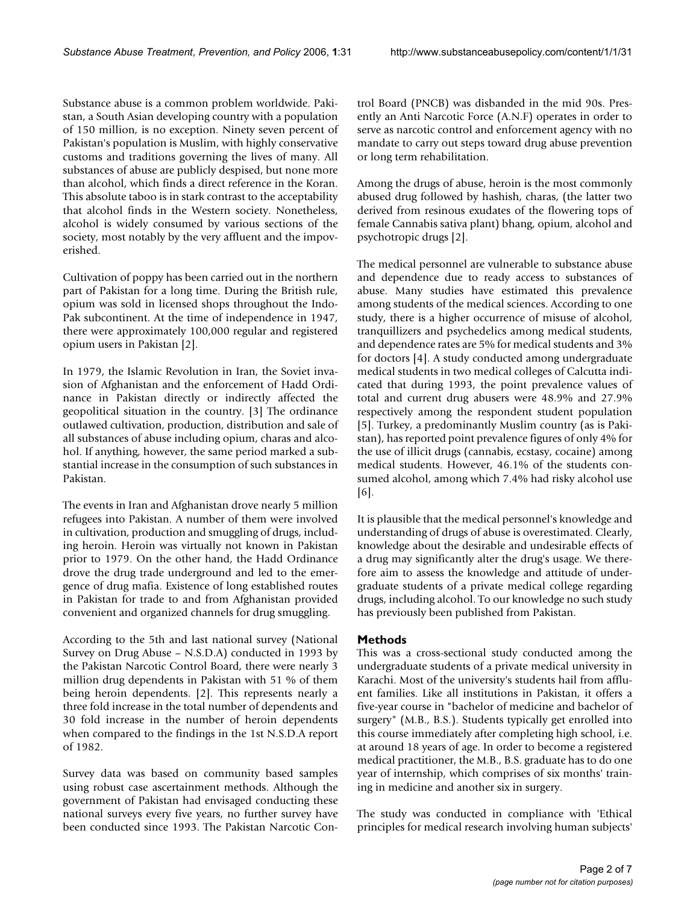Substance abuse is a common problem worldwide. Pakistan, a South Asian developing country with a population of 150 million, is no exception. Ninety seven percent of Pakistan's population is Muslim, with highly conservative customs and traditions governing the lives of many. All substances of abuse are publicly despised, but none more than alcohol, which finds a direct reference in the Koran. This absolute taboo is in stark contrast to the acceptability that alcohol finds in the Western society. Nonetheless, alcohol is widely consumed by various sections of the society, most notably by the very affluent and the impoverished.

Cultivation of poppy has been carried out in the northern part of Pakistan for a long time. During the British rule, opium was sold in licensed shops throughout the Indo-Pak subcontinent. At the time of independence in 1947, there were approximately 100,000 regular and registered opium users in Pakistan [2].

In 1979, the Islamic Revolution in Iran, the Soviet invasion of Afghanistan and the enforcement of Hadd Ordinance in Pakistan directly or indirectly affected the geopolitical situation in the country. [3] The ordinance outlawed cultivation, production, distribution and sale of all substances of abuse including opium, charas and alcohol. If anything, however, the same period marked a substantial increase in the consumption of such substances in Pakistan.

The events in Iran and Afghanistan drove nearly 5 million refugees into Pakistan. A number of them were involved in cultivation, production and smuggling of drugs, including heroin. Heroin was virtually not known in Pakistan prior to 1979. On the other hand, the Hadd Ordinance drove the drug trade underground and led to the emergence of drug mafia. Existence of long established routes in Pakistan for trade to and from Afghanistan provided convenient and organized channels for drug smuggling.

According to the 5th and last national survey (National Survey on Drug Abuse – N.S.D.A) conducted in 1993 by the Pakistan Narcotic Control Board, there were nearly 3 million drug dependents in Pakistan with 51 % of them being heroin dependents. [2]. This represents nearly a three fold increase in the total number of dependents and 30 fold increase in the number of heroin dependents when compared to the findings in the 1st N.S.D.A report of 1982.

Survey data was based on community based samples using robust case ascertainment methods. Although the government of Pakistan had envisaged conducting these national surveys every five years, no further survey have been conducted since 1993. The Pakistan Narcotic Control Board (PNCB) was disbanded in the mid 90s. Presently an Anti Narcotic Force (A.N.F) operates in order to serve as narcotic control and enforcement agency with no mandate to carry out steps toward drug abuse prevention or long term rehabilitation.

Among the drugs of abuse, heroin is the most commonly abused drug followed by hashish, charas, (the latter two derived from resinous exudates of the flowering tops of female Cannabis sativa plant) bhang, opium, alcohol and psychotropic drugs [2].

The medical personnel are vulnerable to substance abuse and dependence due to ready access to substances of abuse. Many studies have estimated this prevalence among students of the medical sciences. According to one study, there is a higher occurrence of misuse of alcohol, tranquillizers and psychedelics among medical students, and dependence rates are 5% for medical students and 3% for doctors [4]. A study conducted among undergraduate medical students in two medical colleges of Calcutta indicated that during 1993, the point prevalence values of total and current drug abusers were 48.9% and 27.9% respectively among the respondent student population [5]. Turkey, a predominantly Muslim country (as is Pakistan), has reported point prevalence figures of only 4% for the use of illicit drugs (cannabis, ecstasy, cocaine) among medical students. However, 46.1% of the students consumed alcohol, among which 7.4% had risky alcohol use [6].

It is plausible that the medical personnel's knowledge and understanding of drugs of abuse is overestimated. Clearly, knowledge about the desirable and undesirable effects of a drug may significantly alter the drug's usage. We therefore aim to assess the knowledge and attitude of undergraduate students of a private medical college regarding drugs, including alcohol. To our knowledge no such study has previously been published from Pakistan.

### **Methods**

This was a cross-sectional study conducted among the undergraduate students of a private medical university in Karachi. Most of the university's students hail from affluent families. Like all institutions in Pakistan, it offers a five-year course in "bachelor of medicine and bachelor of surgery" (M.B., B.S.). Students typically get enrolled into this course immediately after completing high school, i.e. at around 18 years of age. In order to become a registered medical practitioner, the M.B., B.S. graduate has to do one year of internship, which comprises of six months' training in medicine and another six in surgery.

The study was conducted in compliance with 'Ethical principles for medical research involving human subjects'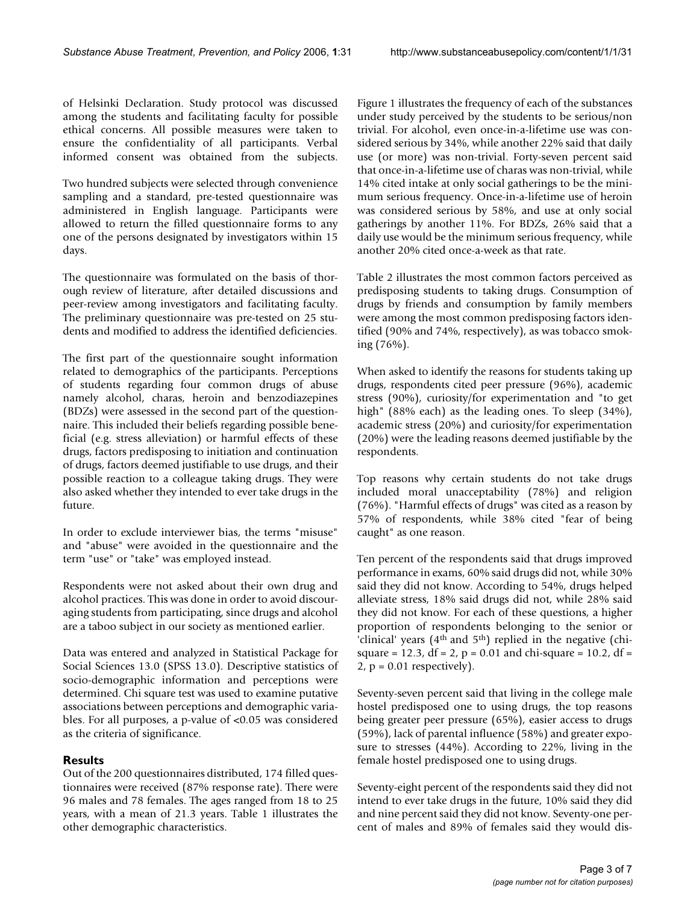of Helsinki Declaration. Study protocol was discussed among the students and facilitating faculty for possible ethical concerns. All possible measures were taken to ensure the confidentiality of all participants. Verbal informed consent was obtained from the subjects.

Two hundred subjects were selected through convenience sampling and a standard, pre-tested questionnaire was administered in English language. Participants were allowed to return the filled questionnaire forms to any one of the persons designated by investigators within 15 days.

The questionnaire was formulated on the basis of thorough review of literature, after detailed discussions and peer-review among investigators and facilitating faculty. The preliminary questionnaire was pre-tested on 25 students and modified to address the identified deficiencies.

The first part of the questionnaire sought information related to demographics of the participants. Perceptions of students regarding four common drugs of abuse namely alcohol, charas, heroin and benzodiazepines (BDZs) were assessed in the second part of the questionnaire. This included their beliefs regarding possible beneficial (e.g. stress alleviation) or harmful effects of these drugs, factors predisposing to initiation and continuation of drugs, factors deemed justifiable to use drugs, and their possible reaction to a colleague taking drugs. They were also asked whether they intended to ever take drugs in the future.

In order to exclude interviewer bias, the terms "misuse" and "abuse" were avoided in the questionnaire and the term "use" or "take" was employed instead.

Respondents were not asked about their own drug and alcohol practices. This was done in order to avoid discouraging students from participating, since drugs and alcohol are a taboo subject in our society as mentioned earlier.

Data was entered and analyzed in Statistical Package for Social Sciences 13.0 (SPSS 13.0). Descriptive statistics of socio-demographic information and perceptions were determined. Chi square test was used to examine putative associations between perceptions and demographic variables. For all purposes, a p-value of <0.05 was considered as the criteria of significance.

## **Results**

Out of the 200 questionnaires distributed, 174 filled questionnaires were received (87% response rate). There were 96 males and 78 females. The ages ranged from 18 to 25 years, with a mean of 21.3 years. Table 1 illustrates the other demographic characteristics.

Figure 1 illustrates the frequency of each of the substances under study perceived by the students to be serious/non trivial. For alcohol, even once-in-a-lifetime use was considered serious by 34%, while another 22% said that daily use (or more) was non-trivial. Forty-seven percent said that once-in-a-lifetime use of charas was non-trivial, while 14% cited intake at only social gatherings to be the minimum serious frequency. Once-in-a-lifetime use of heroin was considered serious by 58%, and use at only social gatherings by another 11%. For BDZs, 26% said that a daily use would be the minimum serious frequency, while another 20% cited once-a-week as that rate.

Table 2 illustrates the most common factors perceived as predisposing students to taking drugs. Consumption of drugs by friends and consumption by family members were among the most common predisposing factors identified (90% and 74%, respectively), as was tobacco smoking (76%).

When asked to identify the reasons for students taking up drugs, respondents cited peer pressure (96%), academic stress (90%), curiosity/for experimentation and "to get high" (88% each) as the leading ones. To sleep (34%), academic stress (20%) and curiosity/for experimentation (20%) were the leading reasons deemed justifiable by the respondents.

Top reasons why certain students do not take drugs included moral unacceptability (78%) and religion (76%). "Harmful effects of drugs" was cited as a reason by 57% of respondents, while 38% cited "fear of being caught" as one reason.

Ten percent of the respondents said that drugs improved performance in exams, 60% said drugs did not, while 30% said they did not know. According to 54%, drugs helped alleviate stress, 18% said drugs did not, while 28% said they did not know. For each of these questions, a higher proportion of respondents belonging to the senior or 'clinical' years  $(4<sup>th</sup>$  and  $5<sup>th</sup>$ ) replied in the negative (chisquare = 12.3, df = 2,  $p = 0.01$  and chi-square = 10.2, df =  $2$ ,  $p = 0.01$  respectively).

Seventy-seven percent said that living in the college male hostel predisposed one to using drugs, the top reasons being greater peer pressure (65%), easier access to drugs (59%), lack of parental influence (58%) and greater exposure to stresses (44%). According to 22%, living in the female hostel predisposed one to using drugs.

Seventy-eight percent of the respondents said they did not intend to ever take drugs in the future, 10% said they did and nine percent said they did not know. Seventy-one percent of males and 89% of females said they would dis-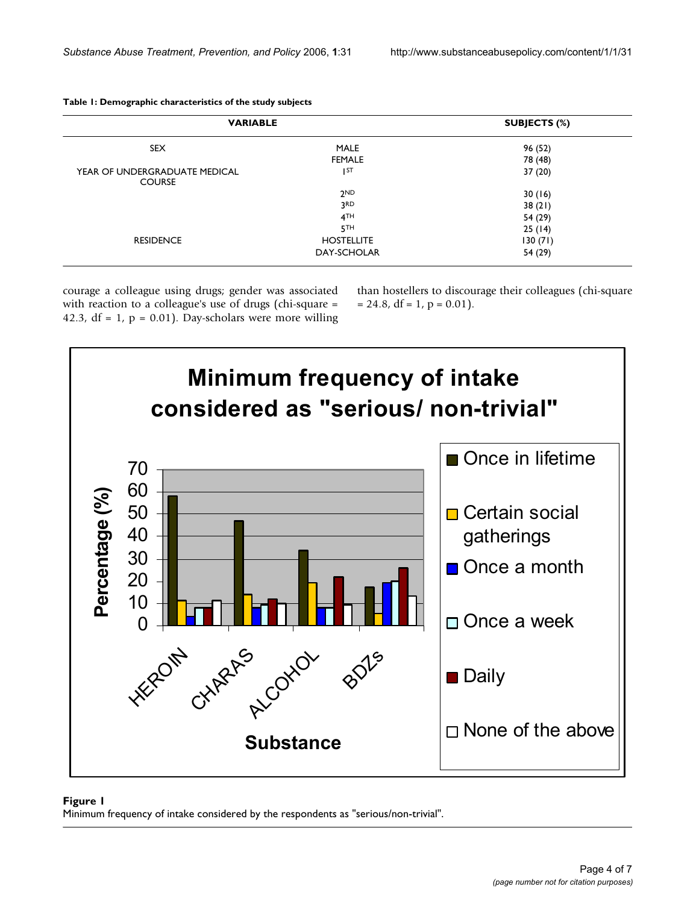| <b>VARIABLE</b>                                |                              | SUBJECTS (%)       |
|------------------------------------------------|------------------------------|--------------------|
| <b>SEX</b>                                     | <b>MALE</b><br><b>FEMALE</b> | 96 (52)<br>78 (48) |
| YEAR OF UNDERGRADUATE MEDICAL<br><b>COURSE</b> | I <sub>ST</sub>              | 37(20)             |
|                                                | 2 <sub>ND</sub>              | 30(16)             |
|                                                | 3RD                          | 38(21)             |
|                                                | 4TH                          | 54 (29)            |
|                                                | 5 <sup>TH</sup>              | 25(14)             |
| <b>RESIDENCE</b>                               | <b>HOSTELLITE</b>            | 130(71)            |
|                                                | DAY-SCHOLAR                  | 54 (29)            |

**Table 1: Demographic characteristics of the study subjects**

courage a colleague using drugs; gender was associated with reaction to a colleague's use of drugs (chi-square = 42.3,  $df = 1$ ,  $p = 0.01$ ). Day-scholars were more willing

than hostellers to discourage their colleagues (chi-square  $= 24.8$ , df  $= 1$ , p  $= 0.01$ ).



#### Minimum frequency of intake considered by **Figure 1** the respondents as "serious/non-trivial"

Minimum frequency of intake considered by the respondents as "serious/non-trivial".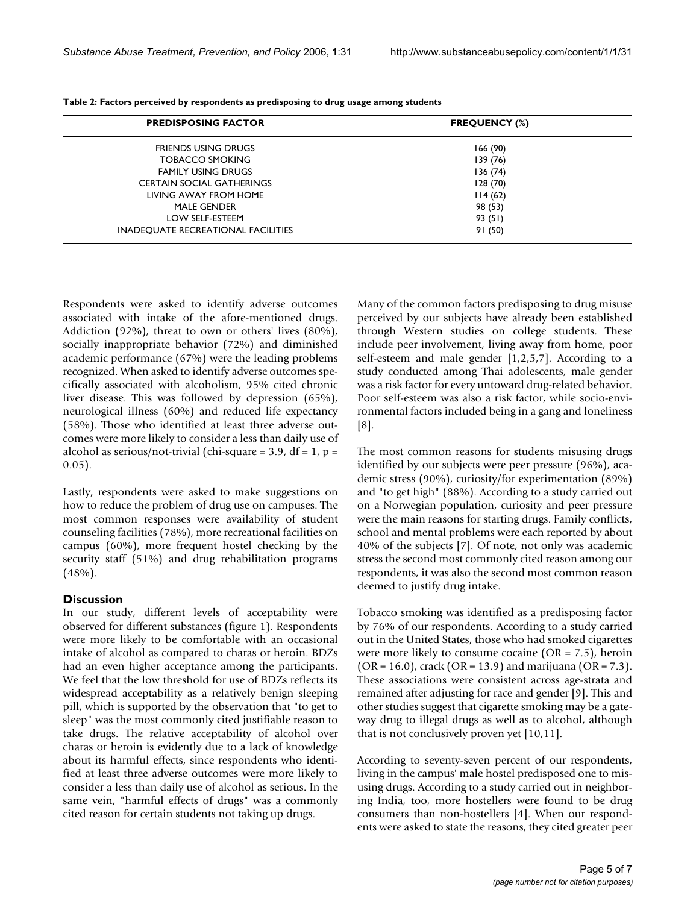| <b>PREDISPOSING FACTOR</b>                | <b>FREQUENCY (%)</b> |
|-------------------------------------------|----------------------|
| FRIENDS USING DRUGS                       | 166(90)              |
| <b>TOBACCO SMOKING</b>                    | 139 (76)             |
| <b>FAMILY USING DRUGS</b>                 | 136(74)              |
| <b>CERTAIN SOCIAL GATHERINGS</b>          | 128(70)              |
| LIVING AWAY FROM HOME                     | 114(62)              |
| <b>MALE GENDER</b>                        | 98 (53)              |
| LOW SELF-ESTEEM                           | 93(51)               |
| <b>INADEQUATE RECREATIONAL FACILITIES</b> | 91(50)               |

**Table 2: Factors perceived by respondents as predisposing to drug usage among students**

Respondents were asked to identify adverse outcomes associated with intake of the afore-mentioned drugs. Addiction (92%), threat to own or others' lives (80%), socially inappropriate behavior (72%) and diminished academic performance (67%) were the leading problems recognized. When asked to identify adverse outcomes specifically associated with alcoholism, 95% cited chronic liver disease. This was followed by depression (65%), neurological illness (60%) and reduced life expectancy (58%). Those who identified at least three adverse outcomes were more likely to consider a less than daily use of alcohol as serious/not-trivial (chi-square =  $3.9$ , df =  $1$ , p = 0.05).

Lastly, respondents were asked to make suggestions on how to reduce the problem of drug use on campuses. The most common responses were availability of student counseling facilities (78%), more recreational facilities on campus (60%), more frequent hostel checking by the security staff (51%) and drug rehabilitation programs (48%).

#### **Discussion**

In our study, different levels of acceptability were observed for different substances (figure 1). Respondents were more likely to be comfortable with an occasional intake of alcohol as compared to charas or heroin. BDZs had an even higher acceptance among the participants. We feel that the low threshold for use of BDZs reflects its widespread acceptability as a relatively benign sleeping pill, which is supported by the observation that "to get to sleep" was the most commonly cited justifiable reason to take drugs. The relative acceptability of alcohol over charas or heroin is evidently due to a lack of knowledge about its harmful effects, since respondents who identified at least three adverse outcomes were more likely to consider a less than daily use of alcohol as serious. In the same vein, "harmful effects of drugs" was a commonly cited reason for certain students not taking up drugs.

Many of the common factors predisposing to drug misuse perceived by our subjects have already been established through Western studies on college students. These include peer involvement, living away from home, poor self-esteem and male gender  $[1,2,5,7]$ . According to a study conducted among Thai adolescents, male gender was a risk factor for every untoward drug-related behavior. Poor self-esteem was also a risk factor, while socio-environmental factors included being in a gang and loneliness [8].

The most common reasons for students misusing drugs identified by our subjects were peer pressure (96%), academic stress (90%), curiosity/for experimentation (89%) and "to get high" (88%). According to a study carried out on a Norwegian population, curiosity and peer pressure were the main reasons for starting drugs. Family conflicts, school and mental problems were each reported by about 40% of the subjects [7]. Of note, not only was academic stress the second most commonly cited reason among our respondents, it was also the second most common reason deemed to justify drug intake.

Tobacco smoking was identified as a predisposing factor by 76% of our respondents. According to a study carried out in the United States, those who had smoked cigarettes were more likely to consume cocaine (OR = 7.5), heroin  $(OR = 16.0)$ , crack  $(OR = 13.9)$  and marijuana  $(OR = 7.3)$ . These associations were consistent across age-strata and remained after adjusting for race and gender [9]. This and other studies suggest that cigarette smoking may be a gateway drug to illegal drugs as well as to alcohol, although that is not conclusively proven yet [10,11].

According to seventy-seven percent of our respondents, living in the campus' male hostel predisposed one to misusing drugs. According to a study carried out in neighboring India, too, more hostellers were found to be drug consumers than non-hostellers [4]. When our respondents were asked to state the reasons, they cited greater peer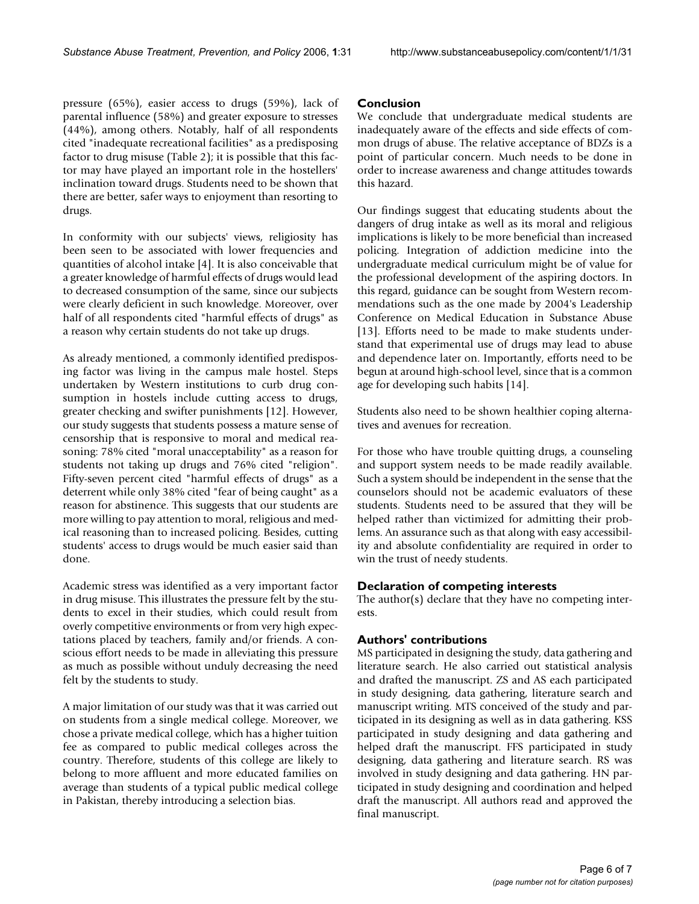pressure (65%), easier access to drugs (59%), lack of parental influence (58%) and greater exposure to stresses (44%), among others. Notably, half of all respondents cited "inadequate recreational facilities" as a predisposing factor to drug misuse (Table 2); it is possible that this factor may have played an important role in the hostellers' inclination toward drugs. Students need to be shown that there are better, safer ways to enjoyment than resorting to drugs.

In conformity with our subjects' views, religiosity has been seen to be associated with lower frequencies and quantities of alcohol intake [4]. It is also conceivable that a greater knowledge of harmful effects of drugs would lead to decreased consumption of the same, since our subjects were clearly deficient in such knowledge. Moreover, over half of all respondents cited "harmful effects of drugs" as a reason why certain students do not take up drugs.

As already mentioned, a commonly identified predisposing factor was living in the campus male hostel. Steps undertaken by Western institutions to curb drug consumption in hostels include cutting access to drugs, greater checking and swifter punishments [12]. However, our study suggests that students possess a mature sense of censorship that is responsive to moral and medical reasoning: 78% cited "moral unacceptability" as a reason for students not taking up drugs and 76% cited "religion". Fifty-seven percent cited "harmful effects of drugs" as a deterrent while only 38% cited "fear of being caught" as a reason for abstinence. This suggests that our students are more willing to pay attention to moral, religious and medical reasoning than to increased policing. Besides, cutting students' access to drugs would be much easier said than done.

Academic stress was identified as a very important factor in drug misuse. This illustrates the pressure felt by the students to excel in their studies, which could result from overly competitive environments or from very high expectations placed by teachers, family and/or friends. A conscious effort needs to be made in alleviating this pressure as much as possible without unduly decreasing the need felt by the students to study.

A major limitation of our study was that it was carried out on students from a single medical college. Moreover, we chose a private medical college, which has a higher tuition fee as compared to public medical colleges across the country. Therefore, students of this college are likely to belong to more affluent and more educated families on average than students of a typical public medical college in Pakistan, thereby introducing a selection bias.

#### **Conclusion**

We conclude that undergraduate medical students are inadequately aware of the effects and side effects of common drugs of abuse. The relative acceptance of BDZs is a point of particular concern. Much needs to be done in order to increase awareness and change attitudes towards this hazard.

Our findings suggest that educating students about the dangers of drug intake as well as its moral and religious implications is likely to be more beneficial than increased policing. Integration of addiction medicine into the undergraduate medical curriculum might be of value for the professional development of the aspiring doctors. In this regard, guidance can be sought from Western recommendations such as the one made by 2004's Leadership Conference on Medical Education in Substance Abuse [13]. Efforts need to be made to make students understand that experimental use of drugs may lead to abuse and dependence later on. Importantly, efforts need to be begun at around high-school level, since that is a common age for developing such habits [14].

Students also need to be shown healthier coping alternatives and avenues for recreation.

For those who have trouble quitting drugs, a counseling and support system needs to be made readily available. Such a system should be independent in the sense that the counselors should not be academic evaluators of these students. Students need to be assured that they will be helped rather than victimized for admitting their problems. An assurance such as that along with easy accessibility and absolute confidentiality are required in order to win the trust of needy students.

#### **Declaration of competing interests**

The author(s) declare that they have no competing interests.

#### **Authors' contributions**

MS participated in designing the study, data gathering and literature search. He also carried out statistical analysis and drafted the manuscript. ZS and AS each participated in study designing, data gathering, literature search and manuscript writing. MTS conceived of the study and participated in its designing as well as in data gathering. KSS participated in study designing and data gathering and helped draft the manuscript. FFS participated in study designing, data gathering and literature search. RS was involved in study designing and data gathering. HN participated in study designing and coordination and helped draft the manuscript. All authors read and approved the final manuscript.